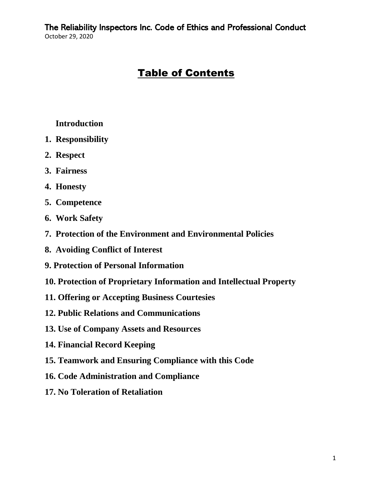# Table of Contents

#### **Introduction**

- **1. Responsibility**
- **2. Respect**
- **3. Fairness**
- **4. Honesty**
- **5. Competence**
- **6. Work Safety**
- **7. Protection of the Environment and Environmental Policies**
- **8. Avoiding Conflict of Interest**
- **9. Protection of Personal Information**
- **10. Protection of Proprietary Information and Intellectual Property**
- **11. Offering or Accepting Business Courtesies**
- **12. Public Relations and Communications**
- **13. Use of Company Assets and Resources**
- **14. Financial Record Keeping**
- **15. Teamwork and Ensuring Compliance with this Code**
- **16. Code Administration and Compliance**
- **17. No Toleration of Retaliation**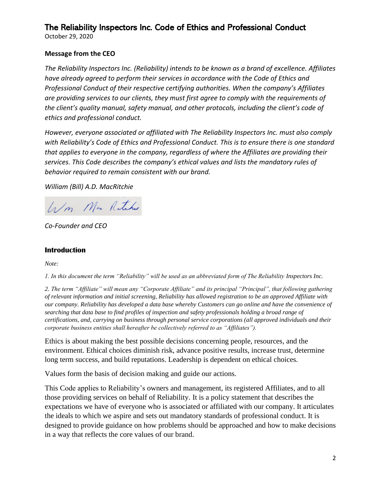October 29, 2020

#### **Message from the CEO**

*The Reliability Inspectors Inc. (Reliability) intends to be known as a brand of excellence. Affiliates have already agreed to perform their services in accordance with the Code of Ethics and Professional Conduct of their respective certifying authorities. When the company's Affiliates are providing services to our clients, they must first agree to comply with the requirements of the client's quality manual, safety manual, and other protocols, including the client's code of ethics and professional conduct.*

*However, everyone associated or affiliated with The Reliability Inspectors Inc. must also comply with Reliability's Code of Ethics and Professional Conduct. This is to ensure there is one standard that applies to everyone in the company, regardless of where the Affiliates are providing their services. This Code describes the company's ethical values and lists the mandatory rules of behavior required to remain consistent with our brand.*

*William (Bill) A.D. MacRitchie*

Wm. Mar Rutchie

*Co-Founder and CEO*

#### **Introduction**

*Note:*

*1. In this document the term "Reliability" will be used as an abbreviated form of The Reliability Inspectors Inc.*

*2. The term "Affiliate" will mean any "Corporate Affiliate" and its principal "Principal", that following gathering of relevant information and initial screening, Reliability has allowed registration to be an approved Affiliate with our company. Reliability has developed a data base whereby Customers can go online and have the convenience of searching that data base to find profiles of inspection and safety professionals holding a broad range of certifications, and, carrying on business through personal service corporations (all approved individuals and their corporate business entities shall hereafter be collectively referred to as "Affiliates").* 

Ethics is about making the best possible decisions concerning people, resources, and the environment. Ethical choices diminish risk, advance positive results, increase trust, determine long term success, and build reputations. Leadership is dependent on ethical choices.

Values form the basis of decision making and guide our actions.

This Code applies to Reliability's owners and management, its registered Affiliates, and to all those providing services on behalf of Reliability. It is a policy statement that describes the expectations we have of everyone who is associated or affiliated with our company. It articulates the ideals to which we aspire and sets out mandatory standards of professional conduct. It is designed to provide guidance on how problems should be approached and how to make decisions in a way that reflects the core values of our brand.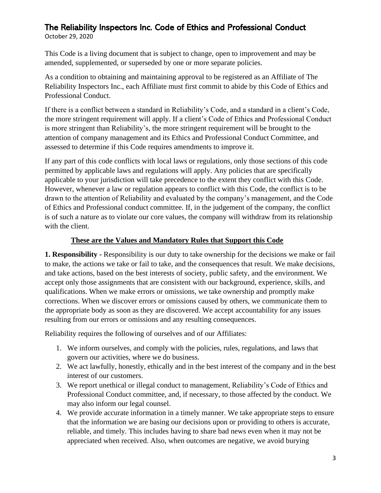October 29, 2020

This Code is a living document that is subject to change, open to improvement and may be amended, supplemented, or superseded by one or more separate policies.

As a condition to obtaining and maintaining approval to be registered as an Affiliate of The Reliability Inspectors Inc., each Affiliate must first commit to abide by this Code of Ethics and Professional Conduct.

If there is a conflict between a standard in Reliability's Code, and a standard in a client's Code, the more stringent requirement will apply. If a client's Code of Ethics and Professional Conduct is more stringent than Reliability's, the more stringent requirement will be brought to the attention of company management and its Ethics and Professional Conduct Committee, and assessed to determine if this Code requires amendments to improve it.

If any part of this code conflicts with local laws or regulations, only those sections of this code permitted by applicable laws and regulations will apply. Any policies that are specifically applicable to your jurisdiction will take precedence to the extent they conflict with this Code. However, whenever a law or regulation appears to conflict with this Code, the conflict is to be drawn to the attention of Reliability and evaluated by the company's management, and the Code of Ethics and Professional conduct committee. If, in the judgement of the company, the conflict is of such a nature as to violate our core values, the company will withdraw from its relationship with the client.

#### **These are the Values and Mandatory Rules that Support this Code**

**1. Responsibility -** Responsibility is our duty to take ownership for the decisions we make or fail to make, the actions we take or fail to take, and the consequences that result. We make decisions, and take actions, based on the best interests of society, public safety, and the environment. We accept only those assignments that are consistent with our background, experience, skills, and qualifications. When we make errors or omissions, we take ownership and promptly make corrections. When we discover errors or omissions caused by others, we communicate them to the appropriate body as soon as they are discovered. We accept accountability for any issues resulting from our errors or omissions and any resulting consequences.

- 1. We inform ourselves, and comply with the policies, rules, regulations, and laws that govern our activities, where we do business.
- 2. We act lawfully, honestly, ethically and in the best interest of the company and in the best interest of our customers.
- 3. We report unethical or illegal conduct to management, Reliability's Code of Ethics and Professional Conduct committee, and, if necessary, to those affected by the conduct. We may also inform our legal counsel.
- 4. We provide accurate information in a timely manner. We take appropriate steps to ensure that the information we are basing our decisions upon or providing to others is accurate, reliable, and timely. This includes having to share bad news even when it may not be appreciated when received. Also, when outcomes are negative, we avoid burying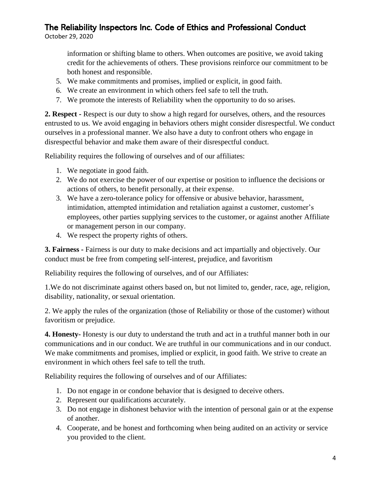October 29, 2020

information or shifting blame to others. When outcomes are positive, we avoid taking credit for the achievements of others. These provisions reinforce our commitment to be both honest and responsible.

- 5. We make commitments and promises, implied or explicit, in good faith.
- 6. We create an environment in which others feel safe to tell the truth.
- 7. We promote the interests of Reliability when the opportunity to do so arises.

**2. Respect -** Respect is our duty to show a high regard for ourselves, others, and the resources entrusted to us. We avoid engaging in behaviors others might consider disrespectful. We conduct ourselves in a professional manner. We also have a duty to confront others who engage in disrespectful behavior and make them aware of their disrespectful conduct.

Reliability requires the following of ourselves and of our affiliates:

- 1. We negotiate in good faith.
- 2. We do not exercise the power of our expertise or position to influence the decisions or actions of others, to benefit personally, at their expense.
- 3. We have a zero-tolerance policy for offensive or abusive behavior, harassment, intimidation, attempted intimidation and retaliation against a customer, customer's employees, other parties supplying services to the customer, or against another Affiliate or management person in our company.
- 4. We respect the property rights of others.

**3. Fairness -** Fairness is our duty to make decisions and act impartially and objectively. Our conduct must be free from competing self-interest, prejudice, and favoritism

Reliability requires the following of ourselves, and of our Affiliates:

1.We do not discriminate against others based on, but not limited to, gender, race, age, religion, disability, nationality, or sexual orientation.

2. We apply the rules of the organization (those of Reliability or those of the customer) without favoritism or prejudice.

**4. Honesty-** Honesty is our duty to understand the truth and act in a truthful manner both in our communications and in our conduct. We are truthful in our communications and in our conduct. We make commitments and promises, implied or explicit, in good faith. We strive to create an environment in which others feel safe to tell the truth.

- 1. Do not engage in or condone behavior that is designed to deceive others.
- 2. Represent our qualifications accurately.
- 3. Do not engage in dishonest behavior with the intention of personal gain or at the expense of another.
- 4. Cooperate, and be honest and forthcoming when being audited on an activity or service you provided to the client.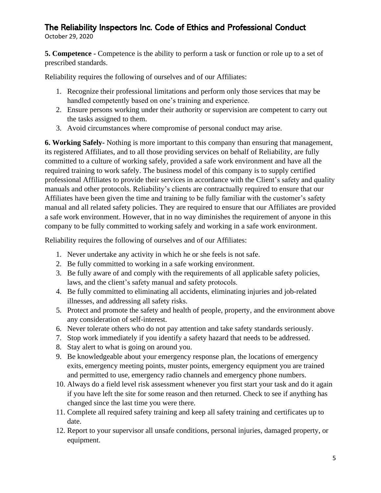October 29, 2020

**5. Competence -** Competence is the ability to perform a task or function or role up to a set of prescribed standards.

Reliability requires the following of ourselves and of our Affiliates:

- 1. Recognize their professional limitations and perform only those services that may be handled competently based on one's training and experience.
- 2. Ensure persons working under their authority or supervision are competent to carry out the tasks assigned to them.
- 3. Avoid circumstances where compromise of personal conduct may arise.

**6. Working Safely-** Nothing is more important to this company than ensuring that management, its registered Affiliates, and to all those providing services on behalf of Reliability, are fully committed to a culture of working safely, provided a safe work environment and have all the required training to work safely. The business model of this company is to supply certified professional Affiliates to provide their services in accordance with the Client's safety and quality manuals and other protocols. Reliability's clients are contractually required to ensure that our Affiliates have been given the time and training to be fully familiar with the customer's safety manual and all related safety policies. They are required to ensure that our Affiliates are provided a safe work environment. However, that in no way diminishes the requirement of anyone in this company to be fully committed to working safely and working in a safe work environment.

- 1. Never undertake any activity in which he or she feels is not safe.
- 2. Be fully committed to working in a safe working environment.
- 3. Be fully aware of and comply with the requirements of all applicable safety policies, laws, and the client's safety manual and safety protocols.
- 4. Be fully committed to eliminating all accidents, eliminating injuries and job-related illnesses, and addressing all safety risks.
- 5. Protect and promote the safety and health of people, property, and the environment above any consideration of self-interest.
- 6. Never tolerate others who do not pay attention and take safety standards seriously.
- 7. Stop work immediately if you identify a safety hazard that needs to be addressed.
- 8. Stay alert to what is going on around you.
- 9. Be knowledgeable about your emergency response plan, the locations of emergency exits, emergency meeting points, muster points, emergency equipment you are trained and permitted to use, emergency radio channels and emergency phone numbers.
- 10. Always do a field level risk assessment whenever you first start your task and do it again if you have left the site for some reason and then returned. Check to see if anything has changed since the last time you were there.
- 11. Complete all required safety training and keep all safety training and certificates up to date.
- 12. Report to your supervisor all unsafe conditions, personal injuries, damaged property, or equipment.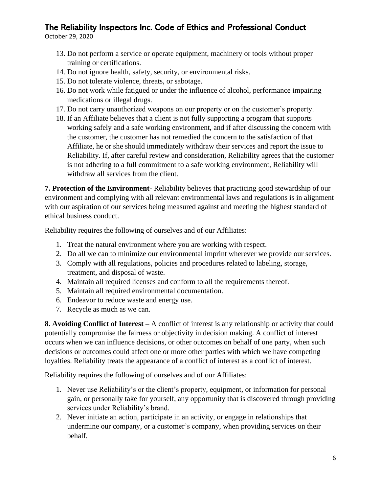October 29, 2020

- 13. Do not perform a service or operate equipment, machinery or tools without proper training or certifications.
- 14. Do not ignore health, safety, security, or environmental risks.
- 15. Do not tolerate violence, threats, or sabotage.
- 16. Do not work while fatigued or under the influence of alcohol, performance impairing medications or illegal drugs.
- 17. Do not carry unauthorized weapons on our property or on the customer's property.
- 18. If an Affiliate believes that a client is not fully supporting a program that supports working safely and a safe working environment, and if after discussing the concern with the customer, the customer has not remedied the concern to the satisfaction of that Affiliate, he or she should immediately withdraw their services and report the issue to Reliability. If, after careful review and consideration, Reliability agrees that the customer is not adhering to a full commitment to a safe working environment, Reliability will withdraw all services from the client.

**7. Protection of the Environment-** Reliability believes that practicing good stewardship of our environment and complying with all relevant environmental laws and regulations is in alignment with our aspiration of our services being measured against and meeting the highest standard of ethical business conduct.

Reliability requires the following of ourselves and of our Affiliates:

- 1. Treat the natural environment where you are working with respect.
- 2. Do all we can to minimize our environmental imprint wherever we provide our services.
- 3. Comply with all regulations, policies and procedures related to labeling, storage, treatment, and disposal of waste.
- 4. Maintain all required licenses and conform to all the requirements thereof.
- 5. Maintain all required environmental documentation.
- 6. Endeavor to reduce waste and energy use.
- 7. Recycle as much as we can.

**8. Avoiding Conflict of Interest –** A conflict of interest is any relationship or activity that could potentially compromise the fairness or objectivity in decision making. A conflict of interest occurs when we can influence decisions, or other outcomes on behalf of one party, when such decisions or outcomes could affect one or more other parties with which we have competing loyalties. Reliability treats the appearance of a conflict of interest as a conflict of interest.

- 1. Never use Reliability's or the client's property, equipment, or information for personal gain, or personally take for yourself, any opportunity that is discovered through providing services under Reliability's brand.
- 2. Never initiate an action, participate in an activity, or engage in relationships that undermine our company, or a customer's company, when providing services on their behalf.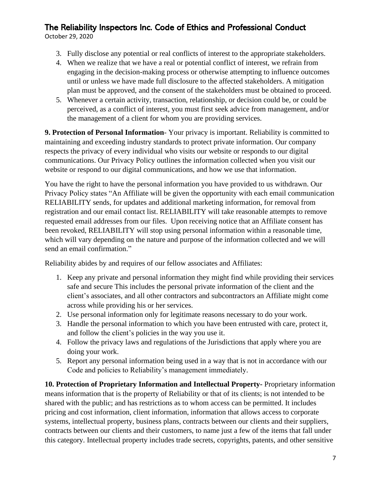October 29, 2020

- 3. Fully disclose any potential or real conflicts of interest to the appropriate stakeholders.
- 4. When we realize that we have a real or potential conflict of interest, we refrain from engaging in the decision-making process or otherwise attempting to influence outcomes until or unless we have made full disclosure to the affected stakeholders. A mitigation plan must be approved, and the consent of the stakeholders must be obtained to proceed.
- 5. Whenever a certain activity, transaction, relationship, or decision could be, or could be perceived, as a conflict of interest, you must first seek advice from management, and/or the management of a client for whom you are providing services.

**9. Protection of Personal Information**- Your privacy is important. Reliability is committed to maintaining and exceeding industry standards to protect private information. Our company respects the privacy of every individual who visits our website or responds to our digital communications. Our Privacy Policy outlines the information collected when you visit our website or respond to our digital communications, and how we use that information.

You have the right to have the personal information you have provided to us withdrawn. Our Privacy Policy states "An Affiliate will be given the opportunity with each email communication RELIABILITY sends, for updates and additional marketing information, for removal from registration and our email contact list. RELIABILITY will take reasonable attempts to remove requested email addresses from our files. Upon receiving notice that an Affiliate consent has been revoked, RELIABILITY will stop using personal information within a reasonable time, which will vary depending on the nature and purpose of the information collected and we will send an email confirmation."

Reliability abides by and requires of our fellow associates and Affiliates:

- 1. Keep any private and personal information they might find while providing their services safe and secure This includes the personal private information of the client and the client's associates, and all other contractors and subcontractors an Affiliate might come across while providing his or her services.
- 2. Use personal information only for legitimate reasons necessary to do your work.
- 3. Handle the personal information to which you have been entrusted with care, protect it, and follow the client's policies in the way you use it.
- 4. Follow the privacy laws and regulations of the Jurisdictions that apply where you are doing your work.
- 5. Report any personal information being used in a way that is not in accordance with our Code and policies to Reliability's management immediately.

**10. Protection of Proprietary Information and Intellectual Property-** Proprietary information means information that is the property of Reliability or that of its clients; is not intended to be shared with the public; and has restrictions as to whom access can be permitted. It includes pricing and cost information, client information, information that allows access to corporate systems, intellectual property, business plans, contracts between our clients and their suppliers, contracts between our clients and their customers, to name just a few of the items that fall under this category. Intellectual property includes trade secrets, copyrights, patents, and other sensitive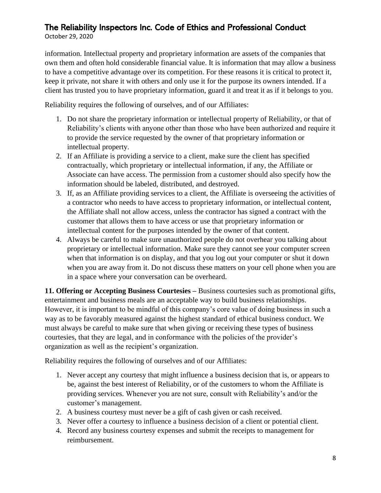October 29, 2020

information. Intellectual property and proprietary information are assets of the companies that own them and often hold considerable financial value. It is information that may allow a business to have a competitive advantage over its competition. For these reasons it is critical to protect it, keep it private, not share it with others and only use it for the purpose its owners intended. If a client has trusted you to have proprietary information, guard it and treat it as if it belongs to you.

Reliability requires the following of ourselves, and of our Affiliates:

- 1. Do not share the proprietary information or intellectual property of Reliability, or that of Reliability's clients with anyone other than those who have been authorized and require it to provide the service requested by the owner of that proprietary information or intellectual property.
- 2. If an Affiliate is providing a service to a client, make sure the client has specified contractually, which proprietary or intellectual information, if any, the Affiliate or Associate can have access. The permission from a customer should also specify how the information should be labeled, distributed, and destroyed.
- 3. If, as an Affiliate providing services to a client, the Affiliate is overseeing the activities of a contractor who needs to have access to proprietary information, or intellectual content, the Affiliate shall not allow access, unless the contractor has signed a contract with the customer that allows them to have access or use that proprietary information or intellectual content for the purposes intended by the owner of that content.
- 4. Always be careful to make sure unauthorized people do not overhear you talking about proprietary or intellectual information. Make sure they cannot see your computer screen when that information is on display, and that you log out your computer or shut it down when you are away from it. Do not discuss these matters on your cell phone when you are in a space where your conversation can be overheard.

**11. Offering or Accepting Business Courtesies –** Business courtesies such as promotional gifts, entertainment and business meals are an acceptable way to build business relationships. However, it is important to be mindful of this company's core value of doing business in such a way as to be favorably measured against the highest standard of ethical business conduct. We must always be careful to make sure that when giving or receiving these types of business courtesies, that they are legal, and in conformance with the policies of the provider's organization as well as the recipient's organization.

- 1. Never accept any courtesy that might influence a business decision that is, or appears to be, against the best interest of Reliability, or of the customers to whom the Affiliate is providing services. Whenever you are not sure, consult with Reliability's and/or the customer's management.
- 2. A business courtesy must never be a gift of cash given or cash received.
- 3. Never offer a courtesy to influence a business decision of a client or potential client.
- 4. Record any business courtesy expenses and submit the receipts to management for reimbursement.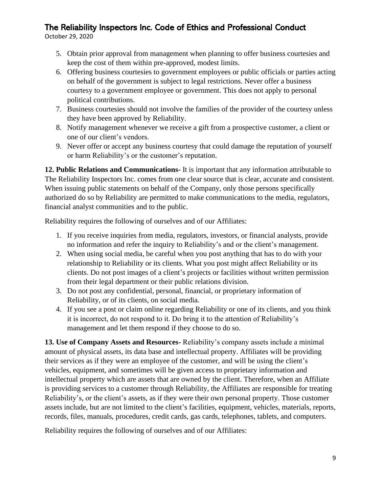October 29, 2020

- 5. Obtain prior approval from management when planning to offer business courtesies and keep the cost of them within pre-approved, modest limits.
- 6. Offering business courtesies to government employees or public officials or parties acting on behalf of the government is subject to legal restrictions. Never offer a business courtesy to a government employee or government. This does not apply to personal political contributions.
- 7. Business courtesies should not involve the families of the provider of the courtesy unless they have been approved by Reliability.
- 8. Notify management whenever we receive a gift from a prospective customer, a client or one of our client's vendors.
- 9. Never offer or accept any business courtesy that could damage the reputation of yourself or harm Reliability's or the customer's reputation.

**12. Public Relations and Communications-** It is important that any information attributable to The Reliability Inspectors Inc. comes from one clear source that is clear, accurate and consistent. When issuing public statements on behalf of the Company, only those persons specifically authorized do so by Reliability are permitted to make communications to the media, regulators, financial analyst communities and to the public.

Reliability requires the following of ourselves and of our Affiliates:

- 1. If you receive inquiries from media, regulators, investors, or financial analysts, provide no information and refer the inquiry to Reliability's and or the client's management.
- 2. When using social media, be careful when you post anything that has to do with your relationship to Reliability or its clients. What you post might affect Reliability or its clients. Do not post images of a client's projects or facilities without written permission from their legal department or their public relations division.
- 3. Do not post any confidential, personal, financial, or proprietary information of Reliability, or of its clients, on social media.
- 4. If you see a post or claim online regarding Reliability or one of its clients, and you think it is incorrect, do not respond to it. Do bring it to the attention of Reliability's management and let them respond if they choose to do so.

**13. Use of Company Assets and Resources-** Reliability's company assets include a minimal amount of physical assets, its data base and intellectual property. Affiliates will be providing their services as if they were an employee of the customer, and will be using the client's vehicles, equipment, and sometimes will be given access to proprietary information and intellectual property which are assets that are owned by the client. Therefore, when an Affiliate is providing services to a customer through Reliability, the Affiliates are responsible for treating Reliability's, or the client's assets, as if they were their own personal property. Those customer assets include, but are not limited to the client's facilities, equipment, vehicles, materials, reports, records, files, manuals, procedures, credit cards, gas cards, telephones, tablets, and computers.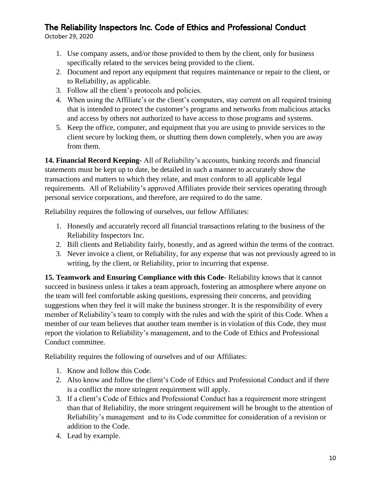October 29, 2020

- 1. Use company assets, and/or those provided to them by the client, only for business specifically related to the services being provided to the client.
- 2. Document and report any equipment that requires maintenance or repair to the client, or to Reliability, as applicable.
- 3. Follow all the client's protocols and policies.
- 4. When using the Affiliate's or the client's computers, stay current on all required training that is intended to protect the customer's programs and networks from malicious attacks and access by others not authorized to have access to those programs and systems.
- 5. Keep the office, computer, and equipment that you are using to provide services to the client secure by locking them, or shutting them down completely, when you are away from them.

**14. Financial Record Keeping-** All of Reliability's accounts, banking records and financial statements must be kept up to date, be detailed in such a manner to accurately show the transactions and matters to which they relate, and must conform to all applicable legal requirements. All of Reliability's approved Affiliates provide their services operating through personal service corporations, and therefore, are required to do the same.

Reliability requires the following of ourselves, our fellow Affiliates:

- 1. Honestly and accurately record all financial transactions relating to the business of the Reliability Inspectors Inc.
- 2. Bill clients and Reliability fairly, honestly, and as agreed within the terms of the contract.
- 3. Never invoice a client, or Reliability, for any expense that was not previously agreed to in writing, by the client, or Reliability, prior to incurring that expense.

**15. Teamwork and Ensuring Compliance with this Code-** Reliability knows that it cannot succeed in business unless it takes a team approach, fostering an atmosphere where anyone on the team will feel comfortable asking questions, expressing their concerns, and providing suggestions when they feel it will make the business stronger. It is the responsibility of every member of Reliability's team to comply with the rules and with the spirit of this Code. When a member of our team believes that another team member is in violation of this Code, they must report the violation to Reliability's management, and to the Code of Ethics and Professional Conduct committee.

- 1. Know and follow this Code.
- 2. Also know and follow the client's Code of Ethics and Professional Conduct and if there is a conflict the more stringent requirement will apply.
- 3. If a client's Code of Ethics and Professional Conduct has a requirement more stringent than that of Reliability, the more stringent requirement will be brought to the attention of Reliability's management and to its Code committee for consideration of a revision or addition to the Code.
- 4. Lead by example.